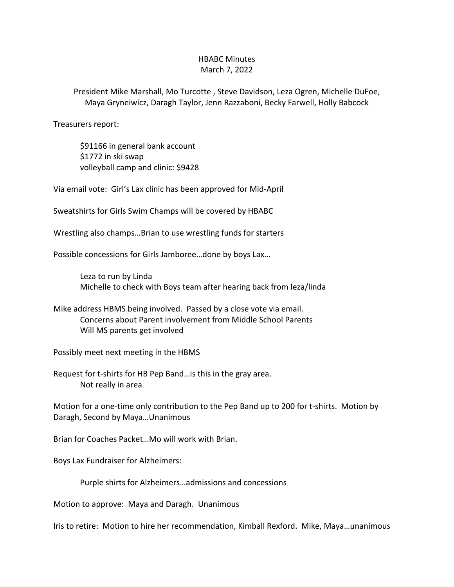## HBABC Minutes March 7, 2022

President Mike Marshall, Mo Turcotte , Steve Davidson, Leza Ogren, Michelle DuFoe, Maya Gryneiwicz, Daragh Taylor, Jenn Razzaboni, Becky Farwell, Holly Babcock

Treasurers report:

\$91166 in general bank account \$1772 in ski swap volleyball camp and clinic: \$9428

Via email vote: Girl's Lax clinic has been approved for Mid-April

Sweatshirts for Girls Swim Champs will be covered by HBABC

Wrestling also champs…Brian to use wrestling funds for starters

Possible concessions for Girls Jamboree…done by boys Lax…

Leza to run by Linda Michelle to check with Boys team after hearing back from leza/linda

Mike address HBMS being involved. Passed by a close vote via email. Concerns about Parent involvement from Middle School Parents Will MS parents get involved

Possibly meet next meeting in the HBMS

Request for t-shirts for HB Pep Band…is this in the gray area. Not really in area

Motion for a one-time only contribution to the Pep Band up to 200 for t-shirts. Motion by Daragh, Second by Maya…Unanimous

Brian for Coaches Packet…Mo will work with Brian.

Boys Lax Fundraiser for Alzheimers:

Purple shirts for Alzheimers…admissions and concessions

Motion to approve: Maya and Daragh. Unanimous

Iris to retire: Motion to hire her recommendation, Kimball Rexford. Mike, Maya…unanimous